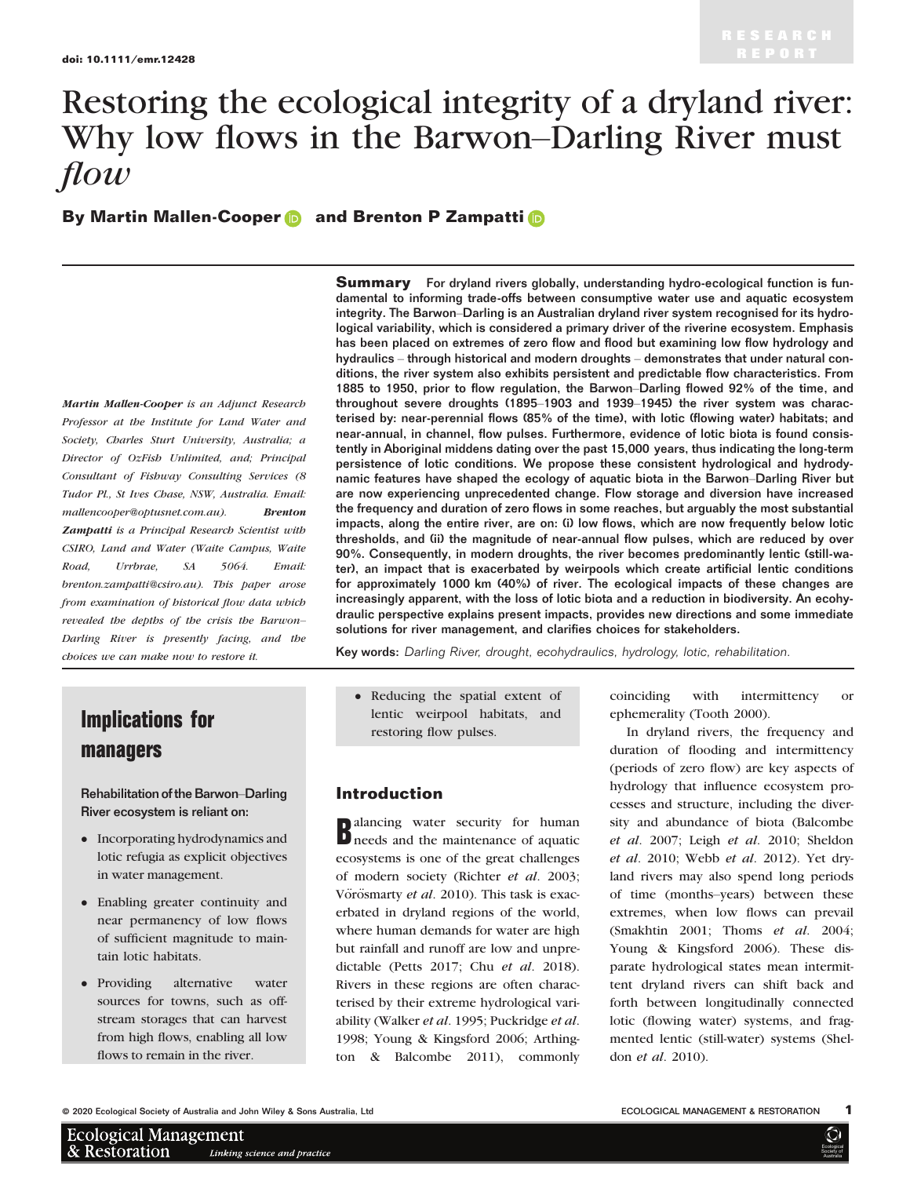# Restoring the ecological integrity of a dryland river: Why low flows in the Barwon–Darling River must flow

By Ma[r](https://orcid.org/0000-0002-2500-7845)t[i](https://orcid.org/0000-0001-7394-1387)n Mallen-Cooper **a** and Brenton P Zampatti **a** 

Martin Mallen-Cooper is an Adjunct Research Professor at the Institute for Land Water and Society, Charles Sturt University, Australia; a Director of OzFish Unlimited, and; Principal Consultant of Fishway Consulting Services (8 Tudor Pl., St Ives Chase, NSW, Australia. Email: [mallencooper@optusnet.com.au\)](mailto:). Brenton Zampatti is a Principal Research Scientist with CSIRO, Land and Water (Waite Campus, Waite Road, Urrbrae, SA 5064. Email: [brenton.zampatti@csiro.au\)](mailto:). This paper arose from examination of historical flow data which revealed the depths of the crisis the Barwon– Darling River is presently facing, and the choices we can make now to restore it.

Implications for

Rehabilitation of the Barwon–Darling River ecosystem is reliant on:

• Incorporating hydrodynamics and lotic refugia as explicit objectives

 Enabling greater continuity and near permanency of low flows of sufficient magnitude to main-

 Providing alternative water sources for towns, such as offstream storages that can harvest from high flows, enabling all low flows to remain in the river.

in water management.

tain lotic habitats.

managers

**Summary** For dryland rivers globally, understanding hydro-ecological function is fundamental to informing trade-offs between consumptive water use and aquatic ecosystem integrity. The Barwon–Darling is an Australian dryland river system recognised for its hydrological variability, which is considered a primary driver of the riverine ecosystem. Emphasis has been placed on extremes of zero flow and flood but examining low flow hydrology and hydraulics – through historical and modern droughts – demonstrates that under natural conditions, the river system also exhibits persistent and predictable flow characteristics. From 1885 to 1950, prior to flow regulation, the Barwon–Darling flowed 92% of the time, and throughout severe droughts (1895–1903 and 1939–1945) the river system was characterised by: near-perennial flows (85% of the time), with lotic (flowing water) habitats; and near-annual, in channel, flow pulses. Furthermore, evidence of lotic biota is found consistently in Aboriginal middens dating over the past 15,000 years, thus indicating the long-term persistence of lotic conditions. We propose these consistent hydrological and hydrodynamic features have shaped the ecology of aquatic biota in the Barwon–Darling River but are now experiencing unprecedented change. Flow storage and diversion have increased the frequency and duration of zero flows in some reaches, but arguably the most substantial impacts, along the entire river, are on: (i) low flows, which are now frequently below lotic thresholds, and (ii) the magnitude of near-annual flow pulses, which are reduced by over 90%. Consequently, in modern droughts, the river becomes predominantly lentic (still-water), an impact that is exacerbated by weirpools which create artificial lentic conditions for approximately 1000 km (40%) of river. The ecological impacts of these changes are increasingly apparent, with the loss of lotic biota and a reduction in biodiversity. An ecohydraulic perspective explains present impacts, provides new directions and some immediate solutions for river management, and clarifies choices for stakeholders.

Key words: Darling River, drought, ecohydraulics, hydrology, lotic, rehabilitation.

 Reducing the spatial extent of lentic weirpool habitats, and restoring flow pulses.

# Introduction

ecosystems is one of the great challenges<br>of modern society (Richter *et al.* 2003; alancing water security for human needs and the maintenance of aquatic ecosystems is one of the great challenges Vörösmarty et al. 2010). This task is exacerbated in dryland regions of the world, where human demands for water are high but rainfall and runoff are low and unpredictable (Petts 2017; Chu et al. 2018). Rivers in these regions are often characterised by their extreme hydrological variability (Walker et al. 1995; Puckridge et al. 1998; Young & Kingsford 2006; Arthington & Balcombe 2011), commonly coinciding with intermittency or ephemerality (Tooth 2000).

In dryland rivers, the frequency and duration of flooding and intermittency (periods of zero flow) are key aspects of hydrology that influence ecosystem processes and structure, including the diversity and abundance of biota (Balcombe et al. 2007; Leigh et al. 2010; Sheldon et al. 2010; Webb et al. 2012). Yet dryland rivers may also spend long periods of time (months–years) between these extremes, when low flows can prevail (Smakhtin 2001; Thoms et al. 2004; Young & Kingsford 2006). These disparate hydrological states mean intermittent dryland rivers can shift back and forth between longitudinally connected lotic (flowing water) systems, and fragmented lentic (still-water) systems (Sheldon et al. 2010).

© 2020 Ecological Society of Australia and John Wiley & Sons Australia, Ltd **ECOLOGICAL MANAGEMENT & RESTORATION** 

| <b>Ecological Management</b> |                              |
|------------------------------|------------------------------|
| & Restoration                | Linking science and praction |

**Ecologica** Society of **Australia** 

 $\bm{\mathbb{O}}$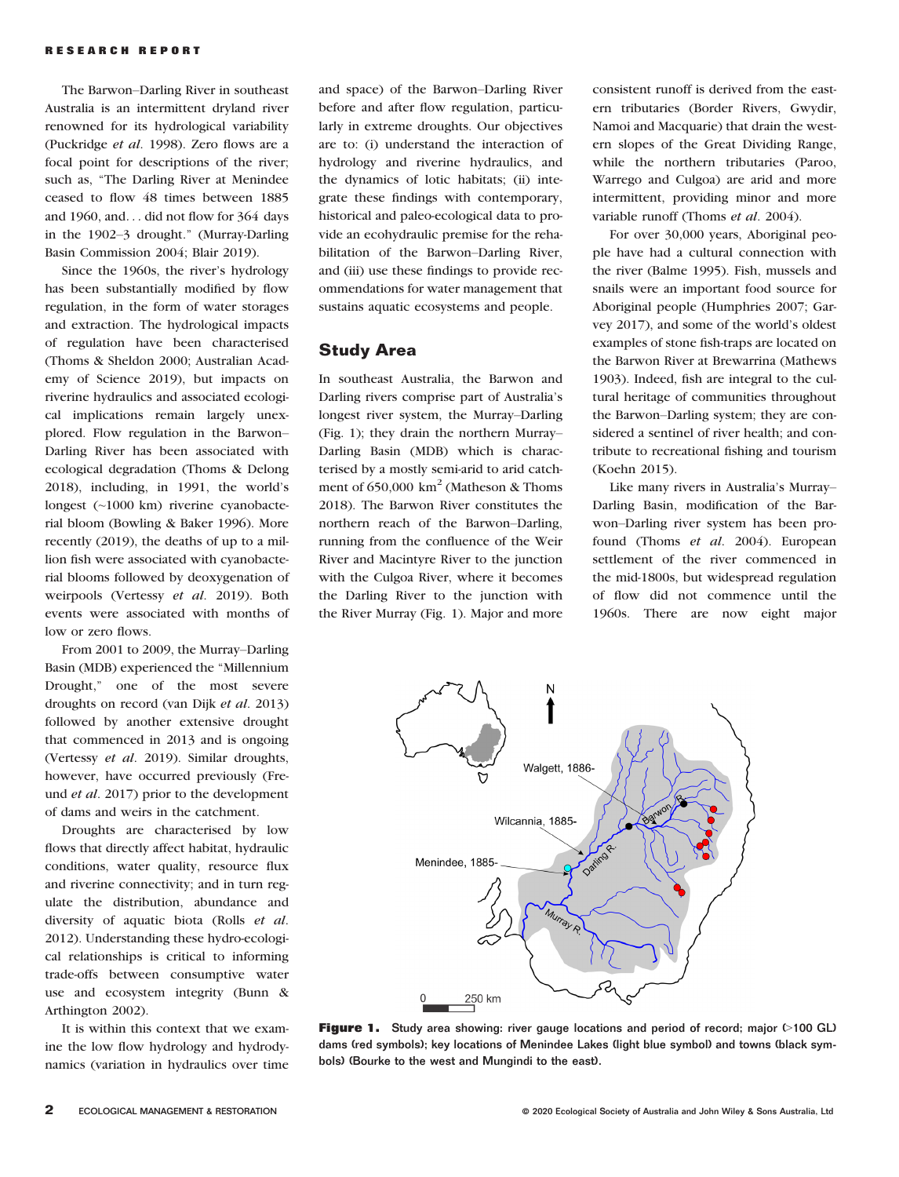The Barwon–Darling River in southeast Australia is an intermittent dryland river renowned for its hydrological variability (Puckridge et al. 1998). Zero flows are a focal point for descriptions of the river; such as, "The Darling River at Menindee ceased to flow 48 times between 1885 and 1960, and... did not flow for 364 days in the 1902–3 drought." (Murray-Darling Basin Commission 2004; Blair 2019).

Since the 1960s, the river's hydrology has been substantially modified by flow regulation, in the form of water storages and extraction. The hydrological impacts of regulation have been characterised (Thoms & Sheldon 2000; Australian Academy of Science 2019), but impacts on riverine hydraulics and associated ecological implications remain largely unexplored. Flow regulation in the Barwon– Darling River has been associated with ecological degradation (Thoms & Delong 2018), including, in 1991, the world's longest (~1000 km) riverine cyanobacterial bloom (Bowling & Baker 1996). More recently (2019), the deaths of up to a million fish were associated with cyanobacterial blooms followed by deoxygenation of weirpools (Vertessy et al. 2019). Both events were associated with months of low or zero flows.

From 2001 to 2009, the Murray–Darling Basin (MDB) experienced the "Millennium Drought," one of the most severe droughts on record (van Dijk et al. 2013) followed by another extensive drought that commenced in 2013 and is ongoing (Vertessy et al. 2019). Similar droughts, however, have occurred previously (Freund et al. 2017) prior to the development of dams and weirs in the catchment.

Droughts are characterised by low flows that directly affect habitat, hydraulic conditions, water quality, resource flux and riverine connectivity; and in turn regulate the distribution, abundance and diversity of aquatic biota (Rolls et al. 2012). Understanding these hydro-ecological relationships is critical to informing trade-offs between consumptive water use and ecosystem integrity (Bunn & Arthington 2002).

It is within this context that we examine the low flow hydrology and hydrodynamics (variation in hydraulics over time

and space) of the Barwon–Darling River before and after flow regulation, particularly in extreme droughts. Our objectives are to: (i) understand the interaction of hydrology and riverine hydraulics, and the dynamics of lotic habitats; (ii) integrate these findings with contemporary, historical and paleo-ecological data to provide an ecohydraulic premise for the rehabilitation of the Barwon–Darling River, and (iii) use these findings to provide recommendations for water management that sustains aquatic ecosystems and people.

# Study Area

In southeast Australia, the Barwon and Darling rivers comprise part of Australia's longest river system, the Murray–Darling (Fig. 1); they drain the northern Murray– Darling Basin (MDB) which is characterised by a mostly semi-arid to arid catchment of  $650,000 \text{ km}^2$  (Matheson & Thoms 2018). The Barwon River constitutes the northern reach of the Barwon–Darling, running from the confluence of the Weir River and Macintyre River to the junction with the Culgoa River, where it becomes the Darling River to the junction with the River Murray (Fig. 1). Major and more

consistent runoff is derived from the eastern tributaries (Border Rivers, Gwydir, Namoi and Macquarie) that drain the western slopes of the Great Dividing Range, while the northern tributaries (Paroo, Warrego and Culgoa) are arid and more intermittent, providing minor and more variable runoff (Thoms et al. 2004).

For over 30,000 years, Aboriginal people have had a cultural connection with the river (Balme 1995). Fish, mussels and snails were an important food source for Aboriginal people (Humphries 2007; Garvey 2017), and some of the world's oldest examples of stone fish-traps are located on the Barwon River at Brewarrina (Mathews 1903). Indeed, fish are integral to the cultural heritage of communities throughout the Barwon–Darling system; they are considered a sentinel of river health; and contribute to recreational fishing and tourism (Koehn 2015).

Like many rivers in Australia's Murray– Darling Basin, modification of the Barwon–Darling river system has been profound (Thoms et al. 2004). European settlement of the river commenced in the mid-1800s, but widespread regulation of flow did not commence until the 1960s. There are now eight major



Figure 1. Study area showing: river gauge locations and period of record; major (>100 GL) dams (red symbols); key locations of Menindee Lakes (light blue symbol) and towns (black symbols) (Bourke to the west and Mungindi to the east).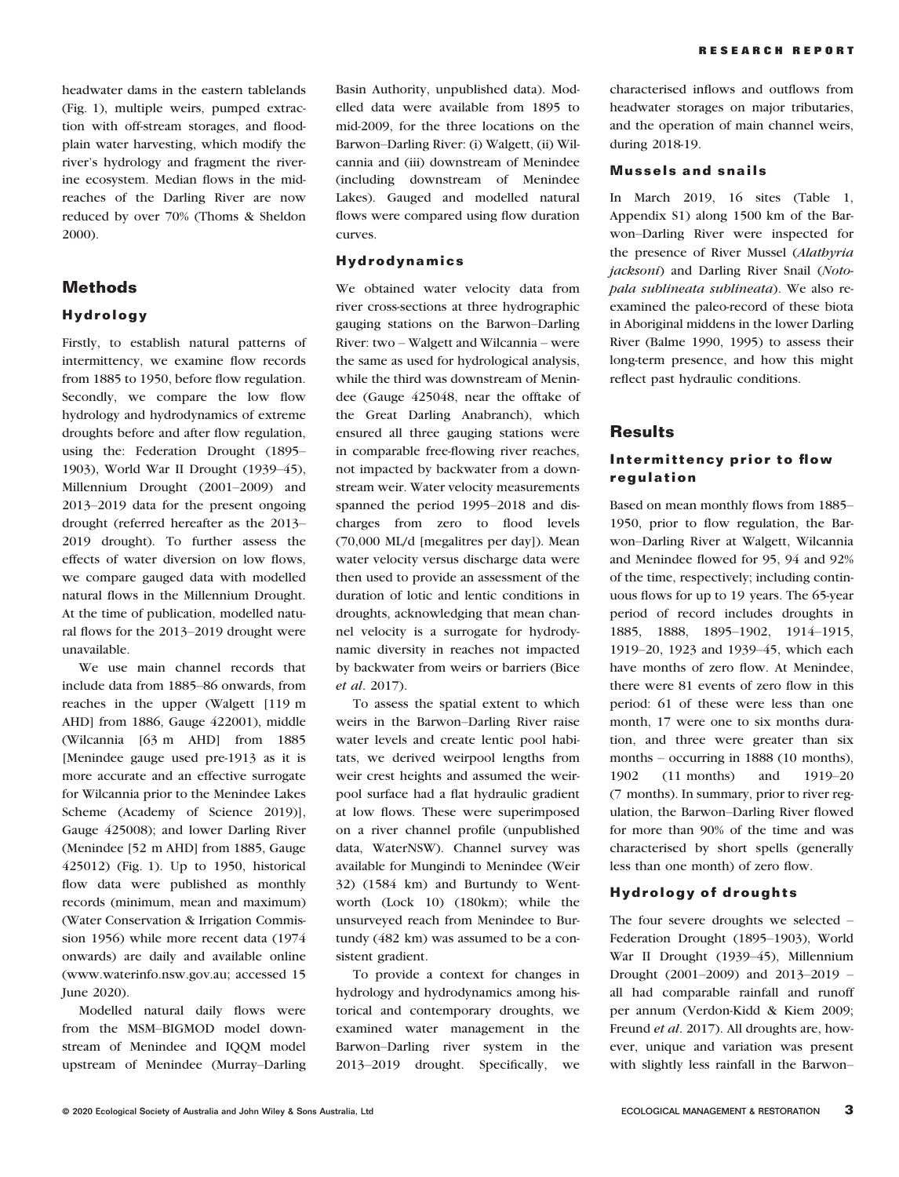headwater dams in the eastern tablelands (Fig. 1), multiple weirs, pumped extraction with off-stream storages, and floodplain water harvesting, which modify the river's hydrology and fragment the riverine ecosystem. Median flows in the midreaches of the Darling River are now reduced by over 70% (Thoms & Sheldon 2000).

# Methods

## Hydrology

Firstly, to establish natural patterns of intermittency, we examine flow records from 1885 to 1950, before flow regulation. Secondly, we compare the low flow hydrology and hydrodynamics of extreme droughts before and after flow regulation, using the: Federation Drought (1895– 1903), World War II Drought (1939–45), Millennium Drought (2001–2009) and 2013–2019 data for the present ongoing drought (referred hereafter as the 2013– 2019 drought). To further assess the effects of water diversion on low flows, we compare gauged data with modelled natural flows in the Millennium Drought. At the time of publication, modelled natural flows for the 2013–2019 drought were unavailable.

We use main channel records that include data from 1885–86 onwards, from reaches in the upper (Walgett [119 m AHD] from 1886, Gauge 422001), middle (Wilcannia [63 m AHD] from 1885 [Menindee gauge used pre-1913 as it is more accurate and an effective surrogate for Wilcannia prior to the Menindee Lakes Scheme (Academy of Science 2019)], Gauge 425008); and lower Darling River (Menindee [52 m AHD] from 1885, Gauge 425012) (Fig. 1). Up to 1950, historical flow data were published as monthly records (minimum, mean and maximum) (Water Conservation & Irrigation Commission 1956) while more recent data (1974 onwards) are daily and available online [\(www.waterinfo.nsw.gov.au](http://www.waterinfo.nsw.gov.au); accessed 15 June 2020).

Modelled natural daily flows were from the MSM–BIGMOD model downstream of Menindee and IQQM model upstream of Menindee (Murray–Darling Basin Authority, unpublished data). Modelled data were available from 1895 to mid-2009, for the three locations on the Barwon–Darling River: (i) Walgett, (ii) Wilcannia and (iii) downstream of Menindee (including downstream of Menindee Lakes). Gauged and modelled natural flows were compared using flow duration curves.

#### Hydrodynamics

We obtained water velocity data from river cross-sections at three hydrographic gauging stations on the Barwon–Darling River: two – Walgett and Wilcannia – were the same as used for hydrological analysis, while the third was downstream of Menindee (Gauge 425048, near the offtake of the Great Darling Anabranch), which ensured all three gauging stations were in comparable free-flowing river reaches, not impacted by backwater from a downstream weir. Water velocity measurements spanned the period 1995–2018 and discharges from zero to flood levels (70,000 ML/d [megalitres per day]). Mean water velocity versus discharge data were then used to provide an assessment of the duration of lotic and lentic conditions in droughts, acknowledging that mean channel velocity is a surrogate for hydrodynamic diversity in reaches not impacted by backwater from weirs or barriers (Bice et al. 2017).

To assess the spatial extent to which weirs in the Barwon–Darling River raise water levels and create lentic pool habitats, we derived weirpool lengths from weir crest heights and assumed the weirpool surface had a flat hydraulic gradient at low flows. These were superimposed on a river channel profile (unpublished data, WaterNSW). Channel survey was available for Mungindi to Menindee (Weir 32) (1584 km) and Burtundy to Wentworth (Lock 10) (180km); while the unsurveyed reach from Menindee to Burtundy (482 km) was assumed to be a consistent gradient.

To provide a context for changes in hydrology and hydrodynamics among historical and contemporary droughts, we examined water management in the Barwon–Darling river system in the 2013–2019 drought. Specifically, we

characterised inflows and outflows from headwater storages on major tributaries, and the operation of main channel weirs, during 2018-19.

#### Mussels and snails

In March 2019, 16 sites (Table 1, Appendix [S1](https://onlinelibrary.wiley.com/doi/10.1111/emr.12428#support-information-section)) along 1500 km of the Barwon–Darling River were inspected for the presence of River Mussel (Alathyria jacksoni) and Darling River Snail (Notopala sublineata sublineata). We also reexamined the paleo-record of these biota in Aboriginal middens in the lower Darling River (Balme 1990, 1995) to assess their long-term presence, and how this might reflect past hydraulic conditions.

## **Results**

## Intermittency prior to flow regulation

Based on mean monthly flows from 1885– 1950, prior to flow regulation, the Barwon–Darling River at Walgett, Wilcannia and Menindee flowed for 95, 94 and 92% of the time, respectively; including continuous flows for up to 19 years. The 65-year period of record includes droughts in 1885, 1888, 1895–1902, 1914–1915, 1919–20, 1923 and 1939–45, which each have months of zero flow. At Menindee, there were 81 events of zero flow in this period: 61 of these were less than one month, 17 were one to six months duration, and three were greater than six months – occurring in 1888 (10 months), 1902 (11 months) and 1919–20 (7 months). In summary, prior to river regulation, the Barwon–Darling River flowed for more than 90% of the time and was characterised by short spells (generally less than one month) of zero flow.

#### Hydrology of droughts

The four severe droughts we selected – Federation Drought (1895–1903), World War II Drought (1939–45), Millennium Drought (2001–2009) and 2013–2019 – all had comparable rainfall and runoff per annum (Verdon-Kidd & Kiem 2009; Freund et al. 2017). All droughts are, however, unique and variation was present with slightly less rainfall in the Barwon–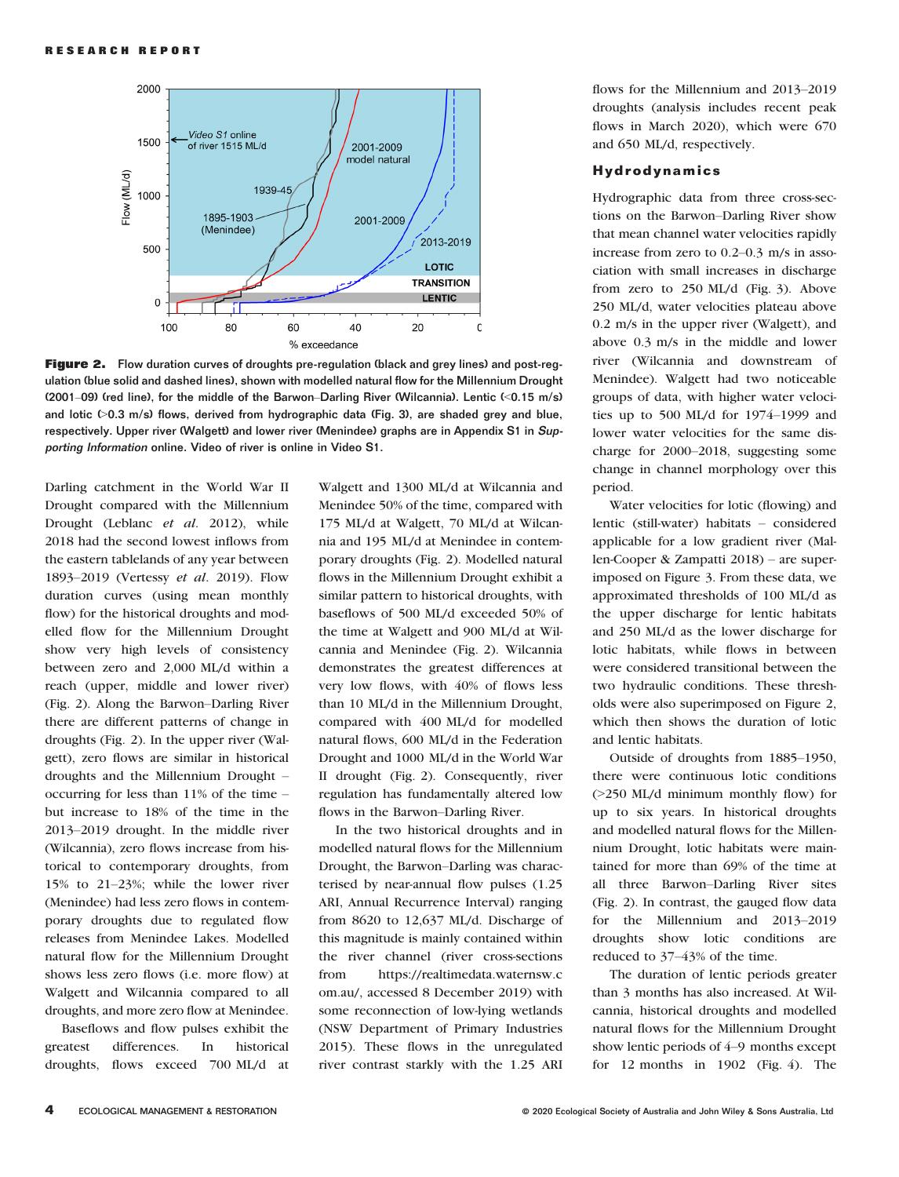

Figure 2. Flow duration curves of droughts pre-regulation (black and grey lines) and post-regulation (blue solid and dashed lines), shown with modelled natural flow for the Millennium Drought (2001–09) (red line), for the middle of the Barwon–Darling River (Wilcannia). Lentic (<0.15 m/s) and lotic  $(0.3 \text{ m/s})$  flows, derived from hydrographic data (Fig. 3), are shaded grey and blue, respectively. Upper river (Walgett) and lower river (Menindee) graphs are in Appendix [S1](https://onlinelibrary.wiley.com/doi/10.1111/emr.12428#support-information-section) in Supporting Information online. Video of river is online in Video [S1.](https://onlinelibrary.wiley.com/doi/10.1111/emr.12428#support-information-section)

Darling catchment in the World War II Drought compared with the Millennium Drought (Leblanc et al. 2012), while 2018 had the second lowest inflows from the eastern tablelands of any year between 1893–2019 (Vertessy et al. 2019). Flow duration curves (using mean monthly flow) for the historical droughts and modelled flow for the Millennium Drought show very high levels of consistency between zero and 2,000 ML/d within a reach (upper, middle and lower river) (Fig. 2). Along the Barwon–Darling River there are different patterns of change in droughts (Fig. 2). In the upper river (Walgett), zero flows are similar in historical droughts and the Millennium Drought – occurring for less than 11% of the time – but increase to 18% of the time in the 2013–2019 drought. In the middle river (Wilcannia), zero flows increase from historical to contemporary droughts, from 15% to 21–23%; while the lower river (Menindee) had less zero flows in contemporary droughts due to regulated flow releases from Menindee Lakes. Modelled natural flow for the Millennium Drought shows less zero flows (i.e. more flow) at Walgett and Wilcannia compared to all droughts, and more zero flow at Menindee.

Baseflows and flow pulses exhibit the greatest differences. In historical droughts, flows exceed 700 ML/d at

Walgett and 1300 ML/d at Wilcannia and Menindee 50% of the time, compared with 175 ML/d at Walgett, 70 ML/d at Wilcannia and 195 ML/d at Menindee in contemporary droughts (Fig. 2). Modelled natural flows in the Millennium Drought exhibit a similar pattern to historical droughts, with baseflows of 500 ML/d exceeded 50% of the time at Walgett and 900 ML/d at Wilcannia and Menindee (Fig. 2). Wilcannia demonstrates the greatest differences at very low flows, with 40% of flows less than 10 ML/d in the Millennium Drought, compared with 400 ML/d for modelled natural flows, 600 ML/d in the Federation Drought and 1000 ML/d in the World War II drought (Fig. 2). Consequently, river regulation has fundamentally altered low flows in the Barwon–Darling River.

In the two historical droughts and in modelled natural flows for the Millennium Drought, the Barwon–Darling was characterised by near-annual flow pulses (1.25 ARI, Annual Recurrence Interval) ranging from 8620 to 12,637 ML/d. Discharge of this magnitude is mainly contained within the river channel (river cross-sections from [https://realtimedata.waternsw.c](https://realtimedata.waternsw.com.au/) [om.au/](https://realtimedata.waternsw.com.au/), accessed 8 December 2019) with some reconnection of low-lying wetlands (NSW Department of Primary Industries 2015). These flows in the unregulated river contrast starkly with the 1.25 ARI

flows for the Millennium and 2013–2019 droughts (analysis includes recent peak flows in March 2020), which were 670 and 650 ML/d, respectively.

#### Hydrodynamics

Hydrographic data from three cross-sections on the Barwon–Darling River show that mean channel water velocities rapidly increase from zero to 0.2–0.3 m/s in association with small increases in discharge from zero to 250 ML/d (Fig. 3). Above 250 ML/d, water velocities plateau above 0.2 m/s in the upper river (Walgett), and above 0.3 m/s in the middle and lower river (Wilcannia and downstream of Menindee). Walgett had two noticeable groups of data, with higher water velocities up to 500 ML/d for 1974–1999 and lower water velocities for the same discharge for 2000–2018, suggesting some change in channel morphology over this period.

Water velocities for lotic (flowing) and lentic (still-water) habitats – considered applicable for a low gradient river (Mallen-Cooper & Zampatti 2018) – are superimposed on Figure 3. From these data, we approximated thresholds of 100 ML/d as the upper discharge for lentic habitats and 250 ML/d as the lower discharge for lotic habitats, while flows in between were considered transitional between the two hydraulic conditions. These thresholds were also superimposed on Figure 2, which then shows the duration of lotic and lentic habitats.

Outside of droughts from 1885–1950, there were continuous lotic conditions (>250 ML/d minimum monthly flow) for up to six years. In historical droughts and modelled natural flows for the Millennium Drought, lotic habitats were maintained for more than 69% of the time at all three Barwon–Darling River sites (Fig. 2). In contrast, the gauged flow data for the Millennium and 2013–2019 droughts show lotic conditions are reduced to 37–43% of the time.

The duration of lentic periods greater than 3 months has also increased. At Wilcannia, historical droughts and modelled natural flows for the Millennium Drought show lentic periods of 4–9 months except for 12 months in 1902 (Fig. 4). The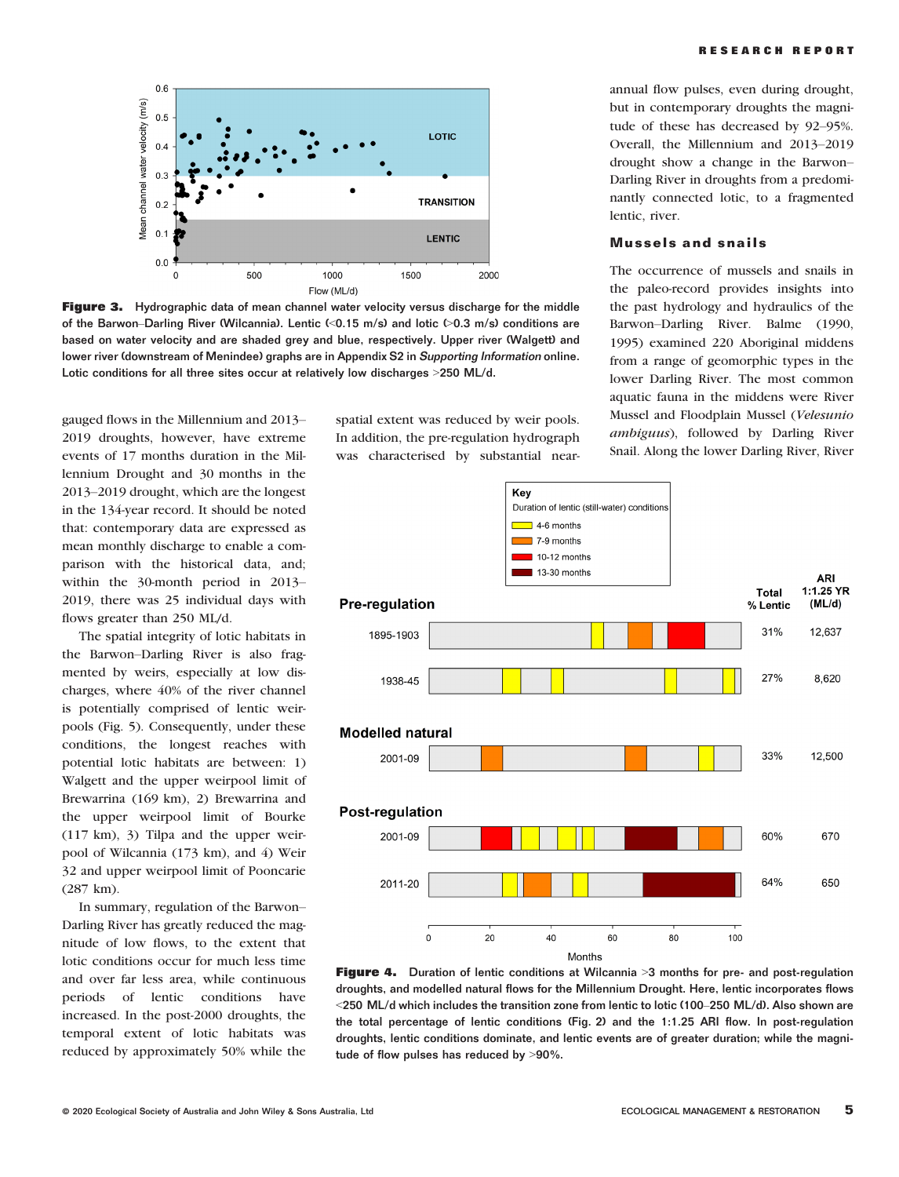

**Figure 3.** Hydrographic data of mean channel water velocity versus discharge for the middle of the Barwon–Darling River (Wilcannia). Lentic (<0.15 m/s) and lotic (>0.3 m/s) conditions are based on water velocity and are shaded grey and blue, respectively. Upper river (Walgett) and lower river (downstream of Menindee) graphs are in Appendix [S2](https://onlinelibrary.wiley.com/doi/10.1111/emr.12428#support-information-section) in Supporting Information online. Lotic conditions for all three sites occur at relatively low discharges >250 ML/d.

gauged flows in the Millennium and 2013– 2019 droughts, however, have extreme events of 17 months duration in the Millennium Drought and 30 months in the 2013–2019 drought, which are the longest in the 134-year record. It should be noted that: contemporary data are expressed as mean monthly discharge to enable a comparison with the historical data, and; within the 30-month period in 2013– 2019, there was 25 individual days with flows greater than 250 ML/d.

The spatial integrity of lotic habitats in the Barwon–Darling River is also fragmented by weirs, especially at low discharges, where 40% of the river channel is potentially comprised of lentic weirpools (Fig. 5). Consequently, under these conditions, the longest reaches with potential lotic habitats are between: 1) Walgett and the upper weirpool limit of Brewarrina (169 km), 2) Brewarrina and the upper weirpool limit of Bourke (117 km), 3) Tilpa and the upper weirpool of Wilcannia (173 km), and 4) Weir 32 and upper weirpool limit of Pooncarie (287 km).

In summary, regulation of the Barwon– Darling River has greatly reduced the magnitude of low flows, to the extent that lotic conditions occur for much less time and over far less area, while continuous periods of lentic conditions have increased. In the post-2000 droughts, the temporal extent of lotic habitats was reduced by approximately 50% while the

spatial extent was reduced by weir pools. In addition, the pre-regulation hydrograph was characterised by substantial near-

annual flow pulses, even during drought, but in contemporary droughts the magnitude of these has decreased by 92–95%. Overall, the Millennium and 2013–2019 drought show a change in the Barwon– Darling River in droughts from a predominantly connected lotic, to a fragmented lentic, river.

## Mussels and snails

The occurrence of mussels and snails in the paleo-record provides insights into the past hydrology and hydraulics of the Barwon–Darling River. Balme (1990, 1995) examined 220 Aboriginal middens from a range of geomorphic types in the lower Darling River. The most common aquatic fauna in the middens were River Mussel and Floodplain Mussel (Velesunio ambiguus), followed by Darling River Snail. Along the lower Darling River, River



**Figure 4.** Duration of lentic conditions at Wilcannia >3 months for pre- and post-regulation droughts, and modelled natural flows for the Millennium Drought. Here, lentic incorporates flows <250 ML/d which includes the transition zone from lentic to lotic (100–250 ML/d). Also shown are the total percentage of lentic conditions (Fig. 2) and the 1:1.25 ARI flow. In post-regulation droughts, lentic conditions dominate, and lentic events are of greater duration; while the magnitude of flow pulses has reduced by >90%.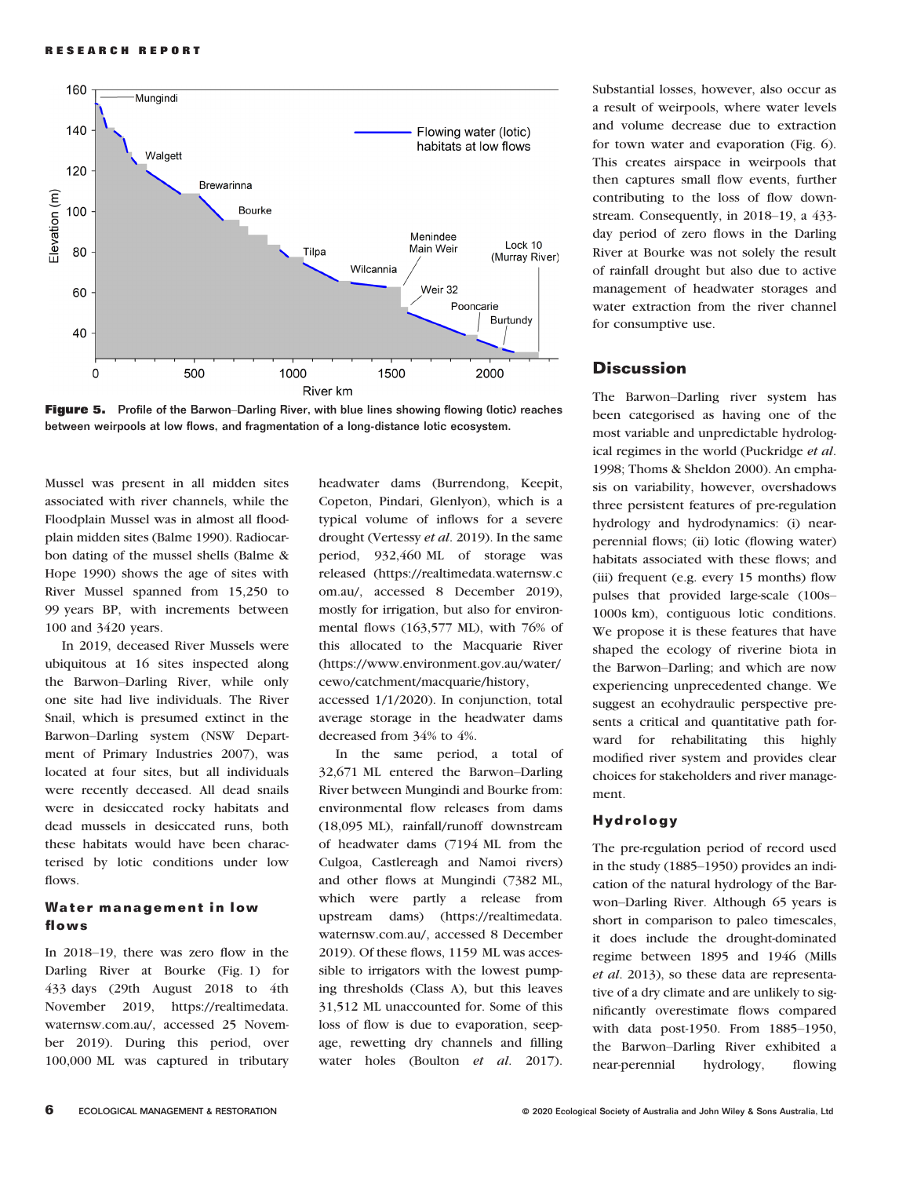

Figure 5. Profile of the Barwon-Darling River, with blue lines showing flowing (lotic) reaches between weirpools at low flows, and fragmentation of a long-distance lotic ecosystem.

Mussel was present in all midden sites associated with river channels, while the Floodplain Mussel was in almost all floodplain midden sites (Balme 1990). Radiocarbon dating of the mussel shells (Balme & Hope 1990) shows the age of sites with River Mussel spanned from 15,250 to 99 years BP, with increments between 100 and 3420 years.

In 2019, deceased River Mussels were ubiquitous at 16 sites inspected along the Barwon–Darling River, while only one site had live individuals. The River Snail, which is presumed extinct in the Barwon–Darling system (NSW Department of Primary Industries 2007), was located at four sites, but all individuals were recently deceased. All dead snails were in desiccated rocky habitats and dead mussels in desiccated runs, both these habitats would have been characterised by lotic conditions under low flows.

#### Water management in low flows

In 2018–19, there was zero flow in the Darling River at Bourke (Fig. 1) for 433 days (29th August 2018 to 4th November 2019, [https://realtimedata.](https://realtimedata.waternsw.com.au/) [waternsw.com.au/,](https://realtimedata.waternsw.com.au/) accessed 25 November 2019). During this period, over 100,000 ML was captured in tributary headwater dams (Burrendong, Keepit, Copeton, Pindari, Glenlyon), which is a typical volume of inflows for a severe drought (Vertessy et al. 2019). In the same period, 932,460 ML of storage was released ([https://realtimedata.waternsw.c](https://realtimedata.waternsw.com.au/) [om.au/](https://realtimedata.waternsw.com.au/), accessed 8 December 2019), mostly for irrigation, but also for environmental flows (163,577 ML), with 76% of this allocated to the Macquarie River [\(https://www.environment.gov.au/water/](https://www.environment.gov.au/water/cewo/catchment/macquarie/history) [cewo/catchment/macquarie/history](https://www.environment.gov.au/water/cewo/catchment/macquarie/history), accessed 1/1/2020). In conjunction, total

average storage in the headwater dams decreased from 34% to 4%.

In the same period, a total of 32,671 ML entered the Barwon–Darling River between Mungindi and Bourke from: environmental flow releases from dams (18,095 ML), rainfall/runoff downstream of headwater dams (7194 ML from the Culgoa, Castlereagh and Namoi rivers) and other flows at Mungindi (7382 ML, which were partly a release from upstream dams) ([https://realtimedata.](https://realtimedata.waternsw.com.au/) [waternsw.com.au/](https://realtimedata.waternsw.com.au/), accessed 8 December 2019). Of these flows, 1159 ML was accessible to irrigators with the lowest pumping thresholds (Class A), but this leaves 31,512 ML unaccounted for. Some of this loss of flow is due to evaporation, seepage, rewetting dry channels and filling water holes (Boulton et al. 2017).

Substantial losses, however, also occur as a result of weirpools, where water levels and volume decrease due to extraction for town water and evaporation (Fig. 6). This creates airspace in weirpools that then captures small flow events, further contributing to the loss of flow downstream. Consequently, in 2018–19, a 433 day period of zero flows in the Darling River at Bourke was not solely the result of rainfall drought but also due to active management of headwater storages and water extraction from the river channel for consumptive use.

# **Discussion**

The Barwon–Darling river system has been categorised as having one of the most variable and unpredictable hydrological regimes in the world (Puckridge et al. 1998; Thoms & Sheldon 2000). An emphasis on variability, however, overshadows three persistent features of pre-regulation hydrology and hydrodynamics: (i) nearperennial flows; (ii) lotic (flowing water) habitats associated with these flows; and (iii) frequent (e.g. every 15 months) flow pulses that provided large-scale (100s– 1000s km), contiguous lotic conditions. We propose it is these features that have shaped the ecology of riverine biota in the Barwon–Darling; and which are now experiencing unprecedented change. We suggest an ecohydraulic perspective presents a critical and quantitative path forward for rehabilitating this highly modified river system and provides clear choices for stakeholders and river management.

## Hydrology

The pre-regulation period of record used in the study (1885–1950) provides an indication of the natural hydrology of the Barwon–Darling River. Although 65 years is short in comparison to paleo timescales, it does include the drought-dominated regime between 1895 and 1946 (Mills et al. 2013), so these data are representative of a dry climate and are unlikely to significantly overestimate flows compared with data post-1950. From 1885–1950, the Barwon–Darling River exhibited a near-perennial hydrology, flowing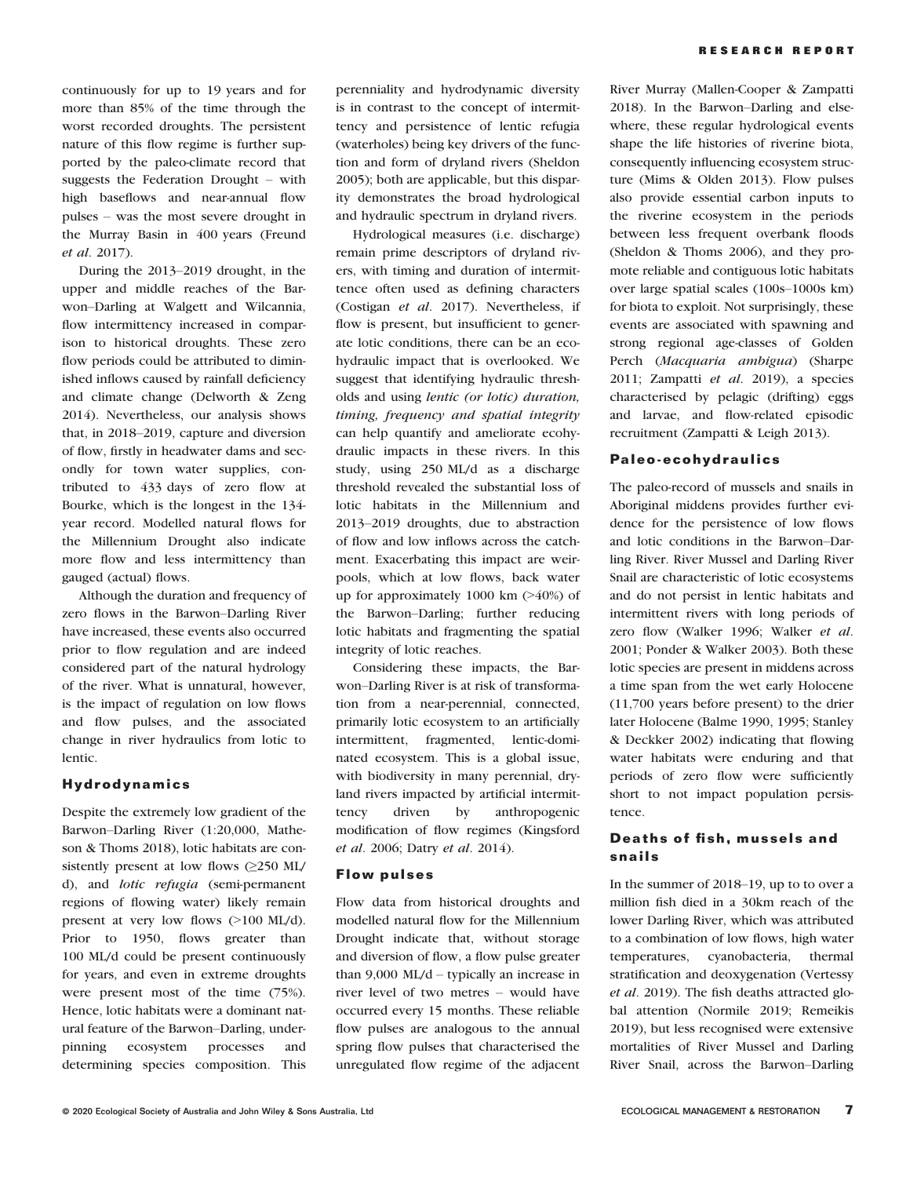continuously for up to 19 years and for more than 85% of the time through the worst recorded droughts. The persistent nature of this flow regime is further supported by the paleo-climate record that suggests the Federation Drought – with high baseflows and near-annual flow pulses – was the most severe drought in the Murray Basin in 400 years (Freund et al. 2017).

During the 2013–2019 drought, in the upper and middle reaches of the Barwon–Darling at Walgett and Wilcannia, flow intermittency increased in comparison to historical droughts. These zero flow periods could be attributed to diminished inflows caused by rainfall deficiency and climate change (Delworth & Zeng 2014). Nevertheless, our analysis shows that, in 2018–2019, capture and diversion of flow, firstly in headwater dams and secondly for town water supplies, contributed to 433 days of zero flow at Bourke, which is the longest in the 134 year record. Modelled natural flows for the Millennium Drought also indicate more flow and less intermittency than gauged (actual) flows.

Although the duration and frequency of zero flows in the Barwon–Darling River have increased, these events also occurred prior to flow regulation and are indeed considered part of the natural hydrology of the river. What is unnatural, however, is the impact of regulation on low flows and flow pulses, and the associated change in river hydraulics from lotic to lentic.

#### Hydrodynamics

Despite the extremely low gradient of the Barwon–Darling River (1:20,000, Matheson & Thoms 2018), lotic habitats are consistently present at low flows (≥250 ML/ d), and lotic refugia (semi-permanent regions of flowing water) likely remain present at very low flows (>100 ML/d). Prior to 1950, flows greater than 100 ML/d could be present continuously for years, and even in extreme droughts were present most of the time (75%). Hence, lotic habitats were a dominant natural feature of the Barwon–Darling, underpinning ecosystem processes and determining species composition. This

perenniality and hydrodynamic diversity is in contrast to the concept of intermittency and persistence of lentic refugia (waterholes) being key drivers of the function and form of dryland rivers (Sheldon 2005); both are applicable, but this disparity demonstrates the broad hydrological and hydraulic spectrum in dryland rivers.

Hydrological measures (i.e. discharge) remain prime descriptors of dryland rivers, with timing and duration of intermittence often used as defining characters (Costigan et al. 2017). Nevertheless, if flow is present, but insufficient to generate lotic conditions, there can be an ecohydraulic impact that is overlooked. We suggest that identifying hydraulic thresholds and using lentic (or lotic) duration, timing, frequency and spatial integrity can help quantify and ameliorate ecohydraulic impacts in these rivers. In this study, using 250 ML/d as a discharge threshold revealed the substantial loss of lotic habitats in the Millennium and 2013–2019 droughts, due to abstraction of flow and low inflows across the catchment. Exacerbating this impact are weirpools, which at low flows, back water up for approximately 1000 km (>40%) of the Barwon–Darling; further reducing lotic habitats and fragmenting the spatial integrity of lotic reaches.

Considering these impacts, the Barwon–Darling River is at risk of transformation from a near-perennial, connected, primarily lotic ecosystem to an artificially intermittent, fragmented, lentic-dominated ecosystem. This is a global issue, with biodiversity in many perennial, dryland rivers impacted by artificial intermittency driven by anthropogenic modification of flow regimes (Kingsford et al. 2006; Datry et al. 2014).

#### Flow pulses

Flow data from historical droughts and modelled natural flow for the Millennium Drought indicate that, without storage and diversion of flow, a flow pulse greater than 9,000 ML/d – typically an increase in river level of two metres – would have occurred every 15 months. These reliable flow pulses are analogous to the annual spring flow pulses that characterised the unregulated flow regime of the adjacent

River Murray (Mallen-Cooper & Zampatti 2018). In the Barwon–Darling and elsewhere, these regular hydrological events shape the life histories of riverine biota, consequently influencing ecosystem structure (Mims & Olden 2013). Flow pulses also provide essential carbon inputs to the riverine ecosystem in the periods between less frequent overbank floods (Sheldon & Thoms 2006), and they promote reliable and contiguous lotic habitats over large spatial scales (100s–1000s km) for biota to exploit. Not surprisingly, these events are associated with spawning and strong regional age-classes of Golden Perch (Macquaria ambigua) (Sharpe 2011; Zampatti et al. 2019), a species characterised by pelagic (drifting) eggs and larvae, and flow-related episodic recruitment (Zampatti & Leigh 2013).

#### Paleo-ecohydraulics

The paleo-record of mussels and snails in Aboriginal middens provides further evidence for the persistence of low flows and lotic conditions in the Barwon–Darling River. River Mussel and Darling River Snail are characteristic of lotic ecosystems and do not persist in lentic habitats and intermittent rivers with long periods of zero flow (Walker 1996; Walker et al. 2001; Ponder & Walker 2003). Both these lotic species are present in middens across a time span from the wet early Holocene (11,700 years before present) to the drier later Holocene (Balme 1990, 1995; Stanley & Deckker 2002) indicating that flowing water habitats were enduring and that periods of zero flow were sufficiently short to not impact population persistence.

# Deaths of fish, mussels and snails

In the summer of 2018–19, up to to over a million fish died in a 30km reach of the lower Darling River, which was attributed to a combination of low flows, high water temperatures, cyanobacteria, thermal stratification and deoxygenation (Vertessy et al. 2019). The fish deaths attracted global attention (Normile 2019; Remeikis 2019), but less recognised were extensive mortalities of River Mussel and Darling River Snail, across the Barwon–Darling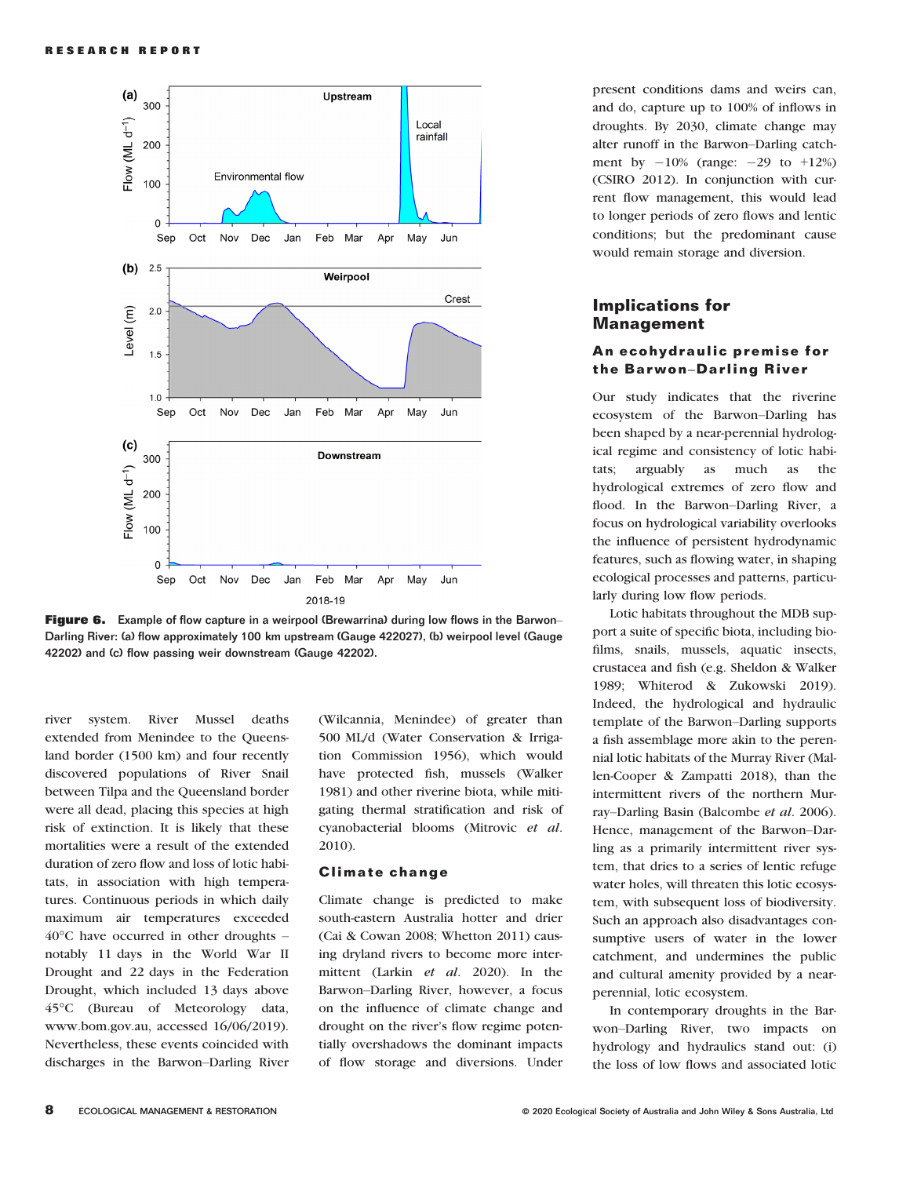

Figure 6. Example of flow capture in a weirpool (Brewarrina) during low flows in the Barwon– Darling River: (a) flow approximately 100 km upstream (Gauge 422027), (b) weirpool level (Gauge 42202) and (c) flow passing weir downstream (Gauge 42202).

river system. River Mussel deaths extended from Menindee to the Queensland border (1500 km) and four recently discovered populations of River Snail between Tilpa and the Queensland border were all dead, placing this species at high risk of extinction. It is likely that these mortalities were a result of the extended duration of zero flow and loss of lotic habitats, in association with high temperatures. Continuous periods in which daily maximum air temperatures exceeded 40°C have occurred in other droughts – notably 11 days in the World War II Drought and 22 days in the Federation Drought, which included 13 days above 45°C (Bureau of Meteorology data, [www.bom.gov.au](http://www.bom.gov.au), accessed 16/06/2019). Nevertheless, these events coincided with discharges in the Barwon–Darling River (Wilcannia, Menindee) of greater than 500 ML/d (Water Conservation & Irrigation Commission 1956), which would have protected fish, mussels (Walker 1981) and other riverine biota, while mitigating thermal stratification and risk of cyanobacterial blooms (Mitrovic et al. 2010).

#### Climate change

Climate change is predicted to make south-eastern Australia hotter and drier (Cai & Cowan 2008; Whetton 2011) causing dryland rivers to become more intermittent (Larkin et al. 2020). In the Barwon–Darling River, however, a focus on the influence of climate change and drought on the river's flow regime potentially overshadows the dominant impacts of flow storage and diversions. Under present conditions dams and weirs can, and do, capture up to 100% of inflows in droughts. By 2030, climate change may alter runoff in the Barwon–Darling catchment by  $-10\%$  (range:  $-29$  to  $+12\%$ ) (CSIRO 2012). In conjunction with current flow management, this would lead to longer periods of zero flows and lentic conditions; but the predominant cause would remain storage and diversion.

## Implications for Management

## An ecohydraulic premise for the Barwon–Darling River

Our study indicates that the riverine ecosystem of the Barwon–Darling has been shaped by a near-perennial hydrological regime and consistency of lotic habitats; arguably as much as the hydrological extremes of zero flow and flood. In the Barwon–Darling River, a focus on hydrological variability overlooks the influence of persistent hydrodynamic features, such as flowing water, in shaping ecological processes and patterns, particularly during low flow periods.

Lotic habitats throughout the MDB support a suite of specific biota, including biofilms, snails, mussels, aquatic insects, crustacea and fish (e.g. Sheldon & Walker 1989; Whiterod & Zukowski 2019). Indeed, the hydrological and hydraulic template of the Barwon–Darling supports a fish assemblage more akin to the perennial lotic habitats of the Murray River (Mallen-Cooper & Zampatti 2018), than the intermittent rivers of the northern Murray–Darling Basin (Balcombe et al. 2006). Hence, management of the Barwon–Darling as a primarily intermittent river system, that dries to a series of lentic refuge water holes, will threaten this lotic ecosystem, with subsequent loss of biodiversity. Such an approach also disadvantages consumptive users of water in the lower catchment, and undermines the public and cultural amenity provided by a nearperennial, lotic ecosystem.

In contemporary droughts in the Barwon–Darling River, two impacts on hydrology and hydraulics stand out: (i) the loss of low flows and associated lotic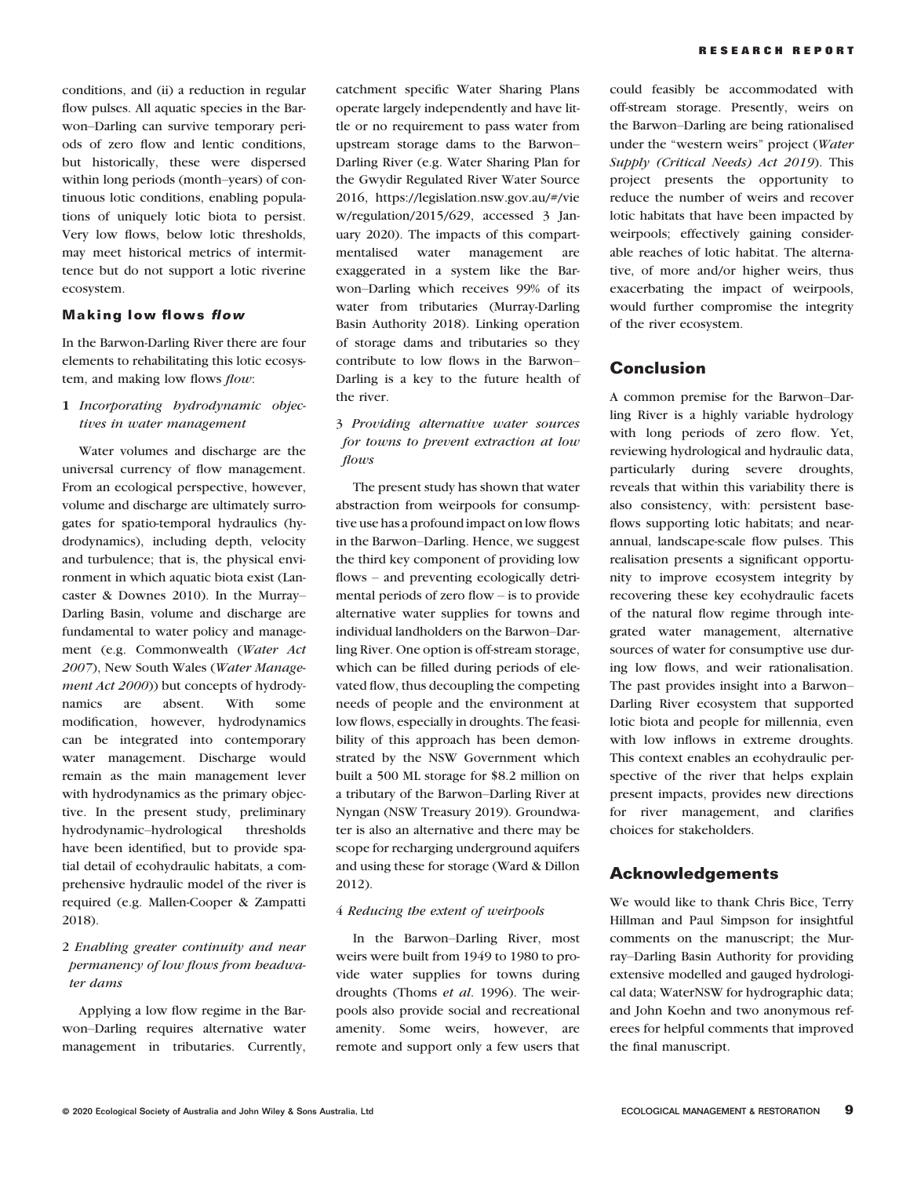conditions, and (ii) a reduction in regular flow pulses. All aquatic species in the Barwon–Darling can survive temporary periods of zero flow and lentic conditions, but historically, these were dispersed within long periods (month–years) of continuous lotic conditions, enabling populations of uniquely lotic biota to persist. Very low flows, below lotic thresholds, may meet historical metrics of intermittence but do not support a lotic riverine ecosystem.

## Making low flows flow

In the Barwon-Darling River there are four elements to rehabilitating this lotic ecosystem, and making low flows flow:

1 Incorporating hydrodynamic objectives in water management

Water volumes and discharge are the universal currency of flow management. From an ecological perspective, however, volume and discharge are ultimately surrogates for spatio-temporal hydraulics (hydrodynamics), including depth, velocity and turbulence; that is, the physical environment in which aquatic biota exist (Lancaster & Downes 2010). In the Murray– Darling Basin, volume and discharge are fundamental to water policy and management (e.g. Commonwealth (Water Act 2007), New South Wales (Water Management Act 2000)) but concepts of hydrodynamics are absent. With some modification, however, hydrodynamics can be integrated into contemporary water management. Discharge would remain as the main management lever with hydrodynamics as the primary objective. In the present study, preliminary hydrodynamic–hydrological thresholds have been identified, but to provide spatial detail of ecohydraulic habitats, a comprehensive hydraulic model of the river is required (e.g. Mallen-Cooper & Zampatti 2018).

# 2 Enabling greater continuity and near permanency of low flows from headwater dams

Applying a low flow regime in the Barwon–Darling requires alternative water management in tributaries. Currently, catchment specific Water Sharing Plans operate largely independently and have little or no requirement to pass water from upstream storage dams to the Barwon– Darling River (e.g. Water Sharing Plan for the Gwydir Regulated River Water Source 2016, [https://legislation.nsw.gov.au/#/vie](https/view/regulation/2015/629://legislation.nsw.gov.au/#/view/regulation/2015/629) [w/regulation/2015/629,](https/view/regulation/2015/629://legislation.nsw.gov.au/#/view/regulation/2015/629) accessed 3 January 2020). The impacts of this compartmentalised water management are exaggerated in a system like the Barwon–Darling which receives 99% of its water from tributaries (Murray-Darling Basin Authority 2018). Linking operation of storage dams and tributaries so they contribute to low flows in the Barwon– Darling is a key to the future health of the river.

## 3 Providing alternative water sources for towns to prevent extraction at low flows

The present study has shown that water abstraction from weirpools for consumptive use has a profound impact on low flows in the Barwon–Darling. Hence, we suggest the third key component of providing low flows – and preventing ecologically detrimental periods of zero flow – is to provide alternative water supplies for towns and individual landholders on the Barwon–Darling River. One option is off-stream storage, which can be filled during periods of elevated flow, thus decoupling the competing needs of people and the environment at low flows, especially in droughts. The feasibility of this approach has been demonstrated by the NSW Government which built a 500 ML storage for \$8.2 million on a tributary of the Barwon–Darling River at Nyngan (NSW Treasury 2019). Groundwater is also an alternative and there may be scope for recharging underground aquifers and using these for storage (Ward & Dillon 2012).

#### 4 Reducing the extent of weirpools

In the Barwon–Darling River, most weirs were built from 1949 to 1980 to provide water supplies for towns during droughts (Thoms et al. 1996). The weirpools also provide social and recreational amenity. Some weirs, however, are remote and support only a few users that

could feasibly be accommodated with off-stream storage. Presently, weirs on the Barwon–Darling are being rationalised under the "western weirs" project (Water Supply (Critical Needs) Act 2019). This project presents the opportunity to reduce the number of weirs and recover lotic habitats that have been impacted by weirpools; effectively gaining considerable reaches of lotic habitat. The alternative, of more and/or higher weirs, thus exacerbating the impact of weirpools, would further compromise the integrity of the river ecosystem.

# Conclusion

A common premise for the Barwon–Darling River is a highly variable hydrology with long periods of zero flow. Yet, reviewing hydrological and hydraulic data, particularly during severe droughts, reveals that within this variability there is also consistency, with: persistent baseflows supporting lotic habitats; and nearannual, landscape-scale flow pulses. This realisation presents a significant opportunity to improve ecosystem integrity by recovering these key ecohydraulic facets of the natural flow regime through integrated water management, alternative sources of water for consumptive use during low flows, and weir rationalisation. The past provides insight into a Barwon– Darling River ecosystem that supported lotic biota and people for millennia, even with low inflows in extreme droughts. This context enables an ecohydraulic perspective of the river that helps explain present impacts, provides new directions for river management, and clarifies choices for stakeholders.

# Acknowledgements

We would like to thank Chris Bice, Terry Hillman and Paul Simpson for insightful comments on the manuscript; the Murray–Darling Basin Authority for providing extensive modelled and gauged hydrological data; WaterNSW for hydrographic data; and John Koehn and two anonymous referees for helpful comments that improved the final manuscript.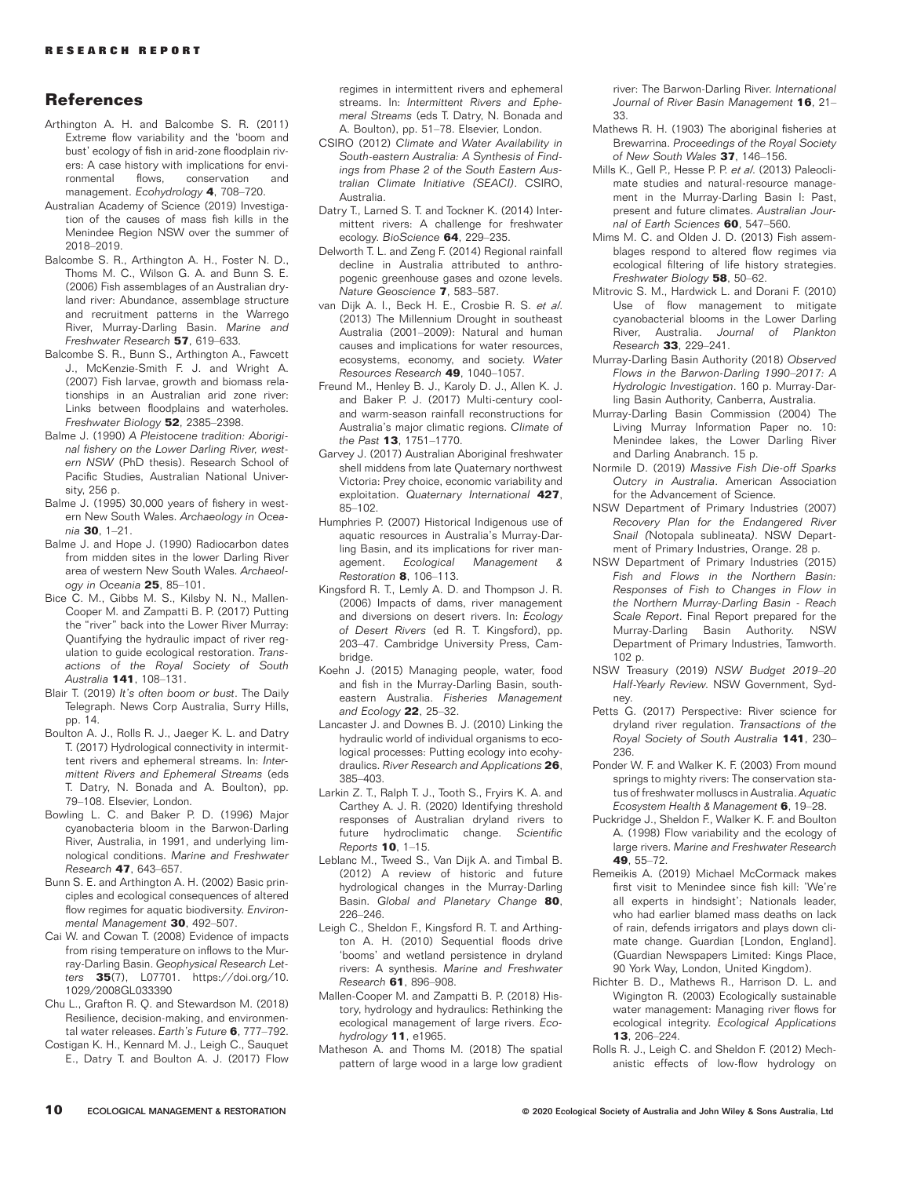# References

- Arthington A. H. and Balcombe S. R. (2011) Extreme flow variability and the 'boom and bust' ecology of fish in arid-zone floodplain rivers: A case history with implications for envi-<br>ronmental flows. conservation and conservation and management. Ecohydrology 4, 708–720.
- Australian Academy of Science (2019) Investigation of the causes of mass fish kills in the Menindee Region NSW over the summer of 2018–2019.
- Balcombe S. R., Arthington A. H., Foster N. D., Thoms M. C., Wilson G. A. and Bunn S. E. (2006) Fish assemblages of an Australian dryland river: Abundance, assemblage structure and recruitment patterns in the Warrego River, Murray-Darling Basin. Marine and Freshwater Research 57, 619–633.
- Balcombe S. R., Bunn S., Arthington A., Fawcett J., McKenzie-Smith F. J. and Wright A. (2007) Fish larvae, growth and biomass relationships in an Australian arid zone river: Links between floodplains and waterholes. Freshwater Biology 52, 2385–2398.
- Balme J. (1990) A Pleistocene tradition: Aboriginal fishery on the Lower Darling River, western NSW (PhD thesis). Research School of Pacific Studies, Australian National University, 256 p.
- Balme J. (1995) 30,000 years of fishery in western New South Wales. Archaeology in Oceania 30, 1–21.
- Balme J. and Hope J. (1990) Radiocarbon dates from midden sites in the lower Darling River area of western New South Wales. Archaeology in Oceania 25, 85–101.
- Bice C. M., Gibbs M. S., Kilsby N. N., Mallen-Cooper M. and Zampatti B. P. (2017) Putting the "river" back into the Lower River Murray: Quantifying the hydraulic impact of river regulation to guide ecological restoration. Transactions of the Royal Society of South Australia 141, 108–131.
- Blair T. (2019) It's often boom or bust. The Daily Telegraph. News Corp Australia, Surry Hills, pp. 14.
- Boulton A. J., Rolls R. J., Jaeger K. L. and Datry T. (2017) Hydrological connectivity in intermittent rivers and ephemeral streams. In: Intermittent Rivers and Ephemeral Streams (eds T. Datry, N. Bonada and A. Boulton), pp. 79–108. Elsevier, London.
- Bowling L. C. and Baker P. D. (1996) Major cyanobacteria bloom in the Barwon-Darling River, Australia, in 1991, and underlying limnological conditions. Marine and Freshwater Research 47, 643–657.
- Bunn S. E. and Arthington A. H. (2002) Basic principles and ecological consequences of altered flow regimes for aquatic biodiversity. Environmental Management 30, 492-507.
- Cai W. and Cowan T. (2008) Evidence of impacts from rising temperature on inflows to the Murray-Darling Basin. Geophysical Research Letters 35(7), L07701. [https://doi.org/10.](https://doi.org/10.1029/2008GL033390) [1029/2008GL033390](https://doi.org/10.1029/2008GL033390)
- Chu L., Grafton R. Q. and Stewardson M. (2018) Resilience, decision-making, and environmental water releases. Earth's Future 6, 777-792.
- Costigan K. H., Kennard M. J., Leigh C., Sauquet E., Datry T. and Boulton A. J. (2017) Flow

regimes in intermittent rivers and ephemeral streams. In: Intermittent Rivers and Ephemeral Streams (eds T. Datry, N. Bonada and A. Boulton), pp. 51–78. Elsevier, London.

- CSIRO (2012) Climate and Water Availability in South-eastern Australia: A Synthesis of Findings from Phase 2 of the South Eastern Australian Climate Initiative (SEACI). CSIRO, Australia.
- Datry T., Larned S. T. and Tockner K. (2014) Intermittent rivers: A challenge for freshwater ecology. BioScience 64. 229-235.
- Delworth T. L. and Zeng F. (2014) Regional rainfall decline in Australia attributed to anthropogenic greenhouse gases and ozone levels. Nature Geoscience 7, 583–587.
- van Dijk A. I., Beck H. E., Crosbie R. S. et al. (2013) The Millennium Drought in southeast Australia (2001–2009): Natural and human causes and implications for water resources, ecosystems, economy, and society. Water Resources Research 49, 1040–1057.
- Freund M., Henley B. J., Karoly D. J., Allen K. J. and Baker P. J. (2017) Multi-century cooland warm-season rainfall reconstructions for Australia's major climatic regions. Climate of the Past 13, 1751–1770.
- Garvey J. (2017) Australian Aboriginal freshwater shell middens from late Quaternary northwest Victoria: Prey choice, economic variability and exploitation. Quaternary International 427, 85–102.
- Humphries P. (2007) Historical Indigenous use of aquatic resources in Australia's Murray-Darling Basin, and its implications for river management. Ecological Management & Restoration 8, 106–113.
- Kingsford R. T., Lemly A. D. and Thompson J. R. (2006) Impacts of dams, river management and diversions on desert rivers. In: Ecology of Desert Rivers (ed R. T. Kingsford), pp. 203–47. Cambridge University Press, Cambridge.
- Koehn J. (2015) Managing people, water, food and fish in the Murray-Darling Basin, southeastern Australia. Fisheries Management and Ecology 22, 25–32.
- Lancaster J. and Downes B. J. (2010) Linking the hydraulic world of individual organisms to ecological processes: Putting ecology into ecohydraulics. River Research and Applications 26, 385–403.
- Larkin Z. T., Ralph T. J., Tooth S., Fryirs K. A. and Carthey A. J. R. (2020) Identifying threshold responses of Australian dryland rivers to future hydroclimatic change. Scientific Reports 10, 1–15.
- Leblanc M., Tweed S., Van Dijk A. and Timbal B. (2012) A review of historic and future hydrological changes in the Murray-Darling Basin. Global and Planetary Change 80, 226–246.
- Leigh C., Sheldon F., Kingsford R. T. and Arthington A. H. (2010) Sequential floods drive 'booms' and wetland persistence in dryland rivers: A synthesis. Marine and Freshwater Research 61, 896–908.
- Mallen-Cooper M. and Zampatti B. P. (2018) History, hydrology and hydraulics: Rethinking the ecological management of large rivers. Ecohydrology 11, e1965.
- Matheson A. and Thoms M. (2018) The spatial pattern of large wood in a large low gradient

river: The Barwon-Darling River. International Journal of River Basin Management 16, 21-33.

- Mathews R. H. (1903) The aboriginal fisheries at Brewarrina. Proceedings of the Royal Society of New South Wales 37, 146-156.
- Mills K., Gell P., Hesse P. P. et al. (2013) Paleoclimate studies and natural-resource management in the Murray-Darling Basin I: Past, present and future climates. Australian Journal of Earth Sciences 60, 547-560.
- Mims M. C. and Olden J. D. (2013) Fish assemblages respond to altered flow regimes via ecological filtering of life history strategies. Freshwater Biology 58, 50-62.
- Mitrovic S. M., Hardwick L. and Dorani F. (2010) Use of flow management to mitigate cyanobacterial blooms in the Lower Darling River, Australia. Journal of Plankton Research 33, 229–241.
- Murray-Darling Basin Authority (2018) Observed Flows in the Barwon-Darling 1990–2017: A Hydrologic Investigation. 160 p. Murray-Darling Basin Authority, Canberra, Australia.
- Murray-Darling Basin Commission (2004) The Living Murray Information Paper no. 10: Menindee lakes, the Lower Darling River and Darling Anabranch. 15 p.
- Normile D. (2019) Massive Fish Die-off Sparks Outcry in Australia. American Association for the Advancement of Science.
- NSW Department of Primary Industries (2007) Recovery Plan for the Endangered River Snail (Notopala sublineata). NSW Department of Primary Industries, Orange. 28 p.
- NSW Department of Primary Industries (2015) Fish and Flows in the Northern Basin: Responses of Fish to Changes in Flow in the Northern Murray-Darling Basin - Reach Scale Report. Final Report prepared for the Murray-Darling Basin Authority. NSW Department of Primary Industries, Tamworth. 102 p.
- NSW Treasury (2019) NSW Budget 2019–20 Half-Yearly Review. NSW Government, Sydney.
- Petts G. (2017) Perspective: River science for dryland river regulation. Transactions of the Royal Society of South Australia 141, 230– 236.
- Ponder W. F. and Walker K. F. (2003) From mound springs to mighty rivers: The conservation status of freshwater molluscs in Australia. Aquatic Ecosystem Health & Management 6, 19–28.
- Puckridge J., Sheldon F., Walker K. F. and Boulton A. (1998) Flow variability and the ecology of large rivers. Marine and Freshwater Research 49, 55–72.
- Remeikis A. (2019) Michael McCormack makes first visit to Menindee since fish kill: 'We're all experts in hindsight'; Nationals leader, who had earlier blamed mass deaths on lack of rain, defends irrigators and plays down climate change. Guardian [London, England]. (Guardian Newspapers Limited: Kings Place, 90 York Way, London, United Kingdom).
- Richter B. D., Mathews R., Harrison D. L. and Wigington R. (2003) Ecologically sustainable water management: Managing river flows for ecological integrity. Ecological Applications 13, 206–224.
- Rolls R. J., Leigh C. and Sheldon F. (2012) Mechanistic effects of low-flow hydrology on